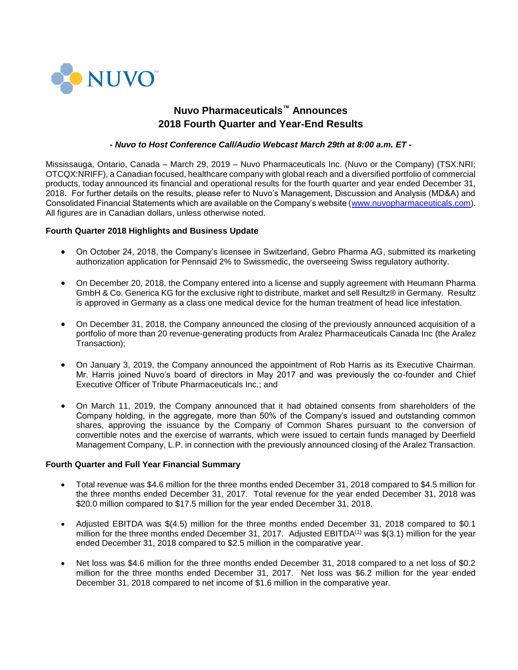

# **Nuvo Pharmaceuticals™ Announces 2018 Fourth Quarter and Year-End Results**

## *- Nuvo to Host Conference Call/Audio Webcast March 29th at 8:00 a.m. ET -*

Mississauga, Ontario, Canada – March 29, 2019 – Nuvo Pharmaceuticals Inc. (Nuvo or the Company) (TSX:NRI; OTCQX:NRIFF), a Canadian focused, healthcare company with global reach and a diversified portfolio of commercial products, today announced its financial and operational results for the fourth quarter and year ended December 31, 2018. For further details on the results, please refer to Nuvo's Management, Discussion and Analysis (MD&A) and Consolidated Financial Statements which are available on the Company's website [\(www.nuvopharmaceuticals.com\)](http://www.nuvopharmaceuticals.com/). All figures are in Canadian dollars, unless otherwise noted.

## **Fourth Quarter 2018 Highlights and Business Update**

- On October 24, 2018, the Company's licensee in Switzerland, Gebro Pharma AG, submitted its marketing authorization application for Pennsaid 2% to Swissmedic, the overseeing Swiss regulatory authority.
- On December 20, 2018, the Company entered into a license and supply agreement with Heumann Pharma GmbH & Co. Generica KG for the exclusive right to distribute, market and sell Resultz® in Germany. Resultz is approved in Germany as a class one medical device for the human treatment of head lice infestation.
- On December 31, 2018, the Company announced the closing of the previously announced acquisition of a portfolio of more than 20 revenue-generating products from Aralez Pharmaceuticals Canada Inc (the Aralez Transaction);
- On January 3, 2019, the Company announced the appointment of Rob Harris as its Executive Chairman. Mr. Harris joined Nuvo's board of directors in May 2017 and was previously the co-founder and Chief Executive Officer of Tribute Pharmaceuticals Inc.; and
- On March 11, 2019, the Company announced that it had obtained consents from shareholders of the Company holding, in the aggregate, more than 50% of the Company's issued and outstanding common shares, approving the issuance by the Company of Common Shares pursuant to the conversion of convertible notes and the exercise of warrants, which were issued to certain funds managed by Deerfield Management Company, L.P. in connection with the previously announced closing of the Aralez Transaction.

### **Fourth Quarter and Full Year Financial Summary**

- Total revenue was \$4.6 million for the three months ended December 31, 2018 compared to \$4.5 million for the three months ended December 31, 2017. Total revenue for the year ended December 31, 2018 was \$20.0 million compared to \$17.5 million for the year ended December 31, 2018.
- Adjusted EBITDA was \$(4.5) million for the three months ended December 31, 2018 compared to \$0.1 million for the three months ended December 31, 2017. Adjusted EBITDA<sup>(1)</sup> was \$(3.1) million for the year ended December 31, 2018 compared to \$2.5 million in the comparative year.
- Net loss was \$4.6 million for the three months ended December 31, 2018 compared to a net loss of \$0.2 million for the three months ended December 31, 2017. Net loss was \$6.2 million for the year ended December 31, 2018 compared to net income of \$1.6 million in the comparative year.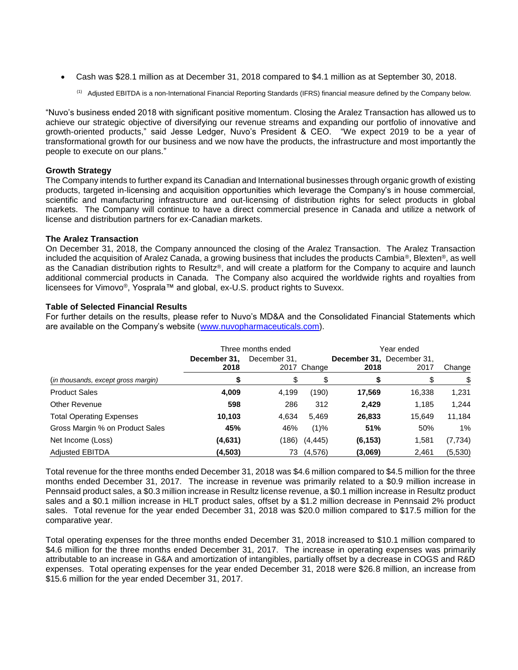- Cash was \$28.1 million as at December 31, 2018 compared to \$4.1 million as at September 30, 2018.
	- <sup>(1)</sup> Adjusted EBITDA is a non-International Financial Reporting Standards (IFRS) financial measure defined by the Company below.

"Nuvo's business ended 2018 with significant positive momentum. Closing the Aralez Transaction has allowed us to achieve our strategic objective of diversifying our revenue streams and expanding our portfolio of innovative and growth-oriented products," said Jesse Ledger, Nuvo's President & CEO. "We expect 2019 to be a year of transformational growth for our business and we now have the products, the infrastructure and most importantly the people to execute on our plans."

## **Growth Strategy**

The Company intends to further expand its Canadian and International businesses through organic growth of existing products, targeted in-licensing and acquisition opportunities which leverage the Company's in house commercial, scientific and manufacturing infrastructure and out-licensing of distribution rights for select products in global markets. The Company will continue to have a direct commercial presence in Canada and utilize a network of license and distribution partners for ex-Canadian markets.

## **The Aralez Transaction**

On December 31, 2018, the Company announced the closing of the Aralez Transaction. The Aralez Transaction included the acquisition of Aralez Canada, a growing business that includes the products Cambia®, Blexten®, as well as the Canadian distribution rights to Resultz®, and will create a platform for the Company to acquire and launch additional commercial products in Canada. The Company also acquired the worldwide rights and royalties from licensees for Vimovo®, Yosprala™ and global, ex-U.S. product rights to Suvexx.

## **Table of Selected Financial Results**

For further details on the results, please refer to Nuvo's MD&A and the Consolidated Financial Statements which are available on the Company's website [\(www.nuvopharmaceuticals.com\)](http://www.nuvopharmaceuticals.com/).

|                                     | Three months ended   |              |             | Year ended |                                   |         |  |
|-------------------------------------|----------------------|--------------|-------------|------------|-----------------------------------|---------|--|
|                                     | December 31,<br>2018 | December 31, | 2017 Change | 2018       | December 31, December 31,<br>2017 | Change  |  |
| (in thousands, except gross margin) | S                    | \$           | \$          | S          | \$                                | \$      |  |
| <b>Product Sales</b>                | 4,009                | 4,199        | (190)       | 17,569     | 16,338                            | 1,231   |  |
| Other Revenue                       | 598                  | 286          | 312         | 2,429      | 1,185                             | 1,244   |  |
| <b>Total Operating Expenses</b>     | 10,103               | 4,634        | 5,469       | 26,833     | 15,649                            | 11,184  |  |
| Gross Margin % on Product Sales     | 45%                  | 46%          | (1)%        | 51%        | 50%                               | 1%      |  |
| Net Income (Loss)                   | (4,631)              | (186)        | (4, 445)    | (6, 153)   | 1,581                             | (7,734) |  |
| <b>Adjusted EBITDA</b>              | (4, 503)             | 73           | (4, 576)    | (3,069)    | 2,461                             | (5,530) |  |

Total revenue for the three months ended December 31, 2018 was \$4.6 million compared to \$4.5 million for the three months ended December 31, 2017. The increase in revenue was primarily related to a \$0.9 million increase in Pennsaid product sales, a \$0.3 million increase in Resultz license revenue, a \$0.1 million increase in Resultz product sales and a \$0.1 million increase in HLT product sales, offset by a \$1.2 million decrease in Pennsaid 2% product sales. Total revenue for the year ended December 31, 2018 was \$20.0 million compared to \$17.5 million for the comparative year.

Total operating expenses for the three months ended December 31, 2018 increased to \$10.1 million compared to \$4.6 million for the three months ended December 31, 2017. The increase in operating expenses was primarily attributable to an increase in G&A and amortization of intangibles, partially offset by a decrease in COGS and R&D expenses. Total operating expenses for the year ended December 31, 2018 were \$26.8 million, an increase from \$15.6 million for the year ended December 31, 2017.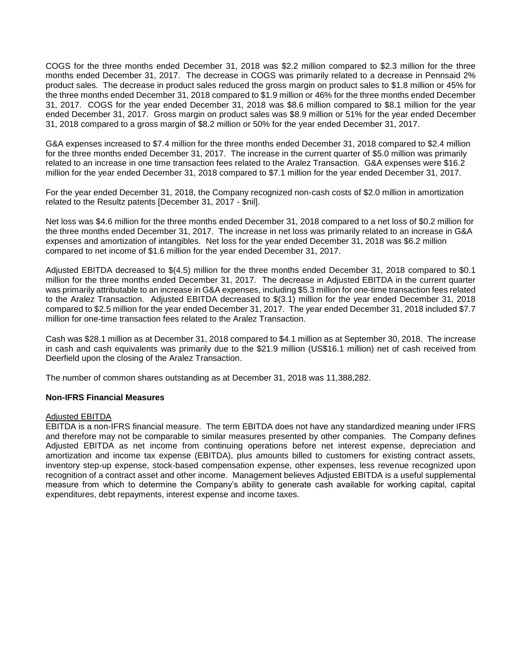COGS for the three months ended December 31, 2018 was \$2.2 million compared to \$2.3 million for the three months ended December 31, 2017. The decrease in COGS was primarily related to a decrease in Pennsaid 2% product sales. The decrease in product sales reduced the gross margin on product sales to \$1.8 million or 45% for the three months ended December 31, 2018 compared to \$1.9 million or 46% for the three months ended December 31, 2017. COGS for the year ended December 31, 2018 was \$8.6 million compared to \$8.1 million for the year ended December 31, 2017. Gross margin on product sales was \$8.9 million or 51% for the year ended December 31, 2018 compared to a gross margin of \$8.2 million or 50% for the year ended December 31, 2017.

G&A expenses increased to \$7.4 million for the three months ended December 31, 2018 compared to \$2.4 million for the three months ended December 31, 2017. The increase in the current quarter of \$5.0 million was primarily related to an increase in one time transaction fees related to the Aralez Transaction. G&A expenses were \$16.2 million for the year ended December 31, 2018 compared to \$7.1 million for the year ended December 31, 2017.

For the year ended December 31, 2018, the Company recognized non-cash costs of \$2.0 million in amortization related to the Resultz patents [December 31, 2017 - \$nil].

Net loss was \$4.6 million for the three months ended December 31, 2018 compared to a net loss of \$0.2 million for the three months ended December 31, 2017. The increase in net loss was primarily related to an increase in G&A expenses and amortization of intangibles. Net loss for the year ended December 31, 2018 was \$6.2 million compared to net income of \$1.6 million for the year ended December 31, 2017.

Adjusted EBITDA decreased to \$(4.5) million for the three months ended December 31, 2018 compared to \$0.1 million for the three months ended December 31, 2017. The decrease in Adjusted EBITDA in the current quarter was primarily attributable to an increase in G&A expenses, including \$5.3 million for one-time transaction fees related to the Aralez Transaction. Adjusted EBITDA decreased to \$(3.1) million for the year ended December 31, 2018 compared to \$2.5 million for the year ended December 31, 2017. The year ended December 31, 2018 included \$7.7 million for one-time transaction fees related to the Aralez Transaction.

Cash was \$28.1 million as at December 31, 2018 compared to \$4.1 million as at September 30, 2018. The increase in cash and cash equivalents was primarily due to the \$21.9 million (US\$16.1 million) net of cash received from Deerfield upon the closing of the Aralez Transaction.

The number of common shares outstanding as at December 31, 2018 was 11,388,282.

### **Non-IFRS Financial Measures**

### Adjusted EBITDA

EBITDA is a non-IFRS financial measure. The term EBITDA does not have any standardized meaning under IFRS and therefore may not be comparable to similar measures presented by other companies. The Company defines Adjusted EBITDA as net income from continuing operations before net interest expense, depreciation and amortization and income tax expense (EBITDA), plus amounts billed to customers for existing contract assets, inventory step-up expense, stock-based compensation expense, other expenses, less revenue recognized upon recognition of a contract asset and other income. Management believes Adjusted EBITDA is a useful supplemental measure from which to determine the Company's ability to generate cash available for working capital, capital expenditures, debt repayments, interest expense and income taxes.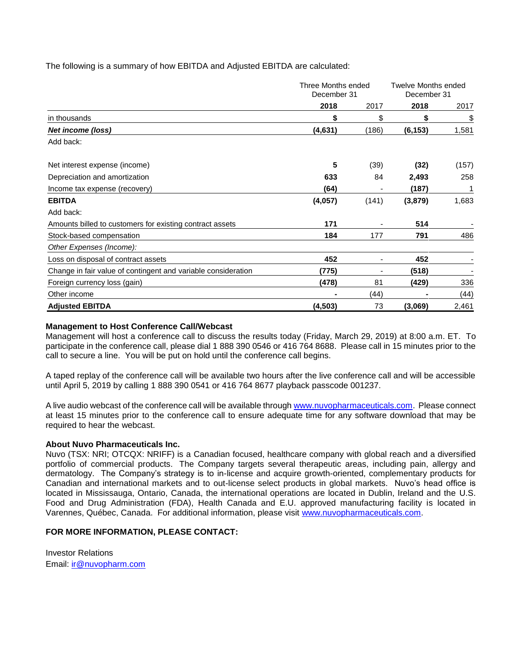The following is a summary of how EBITDA and Adjusted EBITDA are calculated:

|                                                               | Three Months ended<br>December 31 |       | Twelve Months ended<br>December 31 |       |
|---------------------------------------------------------------|-----------------------------------|-------|------------------------------------|-------|
|                                                               | 2018                              | 2017  | 2018                               | 2017  |
| in thousands                                                  | \$                                | \$    | \$                                 | \$    |
| Net income (loss)                                             | (4,631)                           | (186) | (6, 153)                           | 1,581 |
| Add back:                                                     |                                   |       |                                    |       |
| Net interest expense (income)                                 | 5                                 | (39)  | (32)                               | (157) |
| Depreciation and amortization                                 | 633                               | 84    | 2,493                              | 258   |
| Income tax expense (recovery)                                 | (64)                              |       | (187)                              | 1     |
| <b>EBITDA</b>                                                 | (4,057)                           | (141) | (3, 879)                           | 1,683 |
| Add back:                                                     |                                   |       |                                    |       |
| Amounts billed to customers for existing contract assets      | 171                               |       | 514                                |       |
| Stock-based compensation                                      | 184                               | 177   | 791                                | 486   |
| Other Expenses (Income):                                      |                                   |       |                                    |       |
| Loss on disposal of contract assets                           | 452                               |       | 452                                |       |
| Change in fair value of contingent and variable consideration | (775)                             |       | (518)                              |       |
| Foreign currency loss (gain)                                  | (478)                             | 81    | (429)                              | 336   |
| Other income                                                  |                                   | (44)  |                                    | (44)  |
| <b>Adjusted EBITDA</b>                                        | (4, 503)                          | 73    | (3,069)                            | 2,461 |

## **Management to Host Conference Call/Webcast**

Management will host a conference call to discuss the results today (Friday, March 29, 2019) at 8:00 a.m. ET. To participate in the conference call, please dial 1 888 390 0546 or 416 764 8688. Please call in 15 minutes prior to the call to secure a line. You will be put on hold until the conference call begins.

A taped replay of the conference call will be available two hours after the live conference call and will be accessible until April 5, 2019 by calling 1 888 390 0541 or 416 764 8677 playback passcode 001237.

A live audio webcast of the conference call will be available through [www.nuvopharmaceuticals.com.](http://www.nuvopharmaceuticals.com/) Please connect at least 15 minutes prior to the conference call to ensure adequate time for any software download that may be required to hear the webcast.

### **About Nuvo Pharmaceuticals Inc.**

Nuvo (TSX: NRI; OTCQX: NRIFF) is a Canadian focused, healthcare company with global reach and a diversified portfolio of commercial products. The Company targets several therapeutic areas, including pain, allergy and dermatology. The Company's strategy is to in-license and acquire growth-oriented, complementary products for Canadian and international markets and to out-license select products in global markets. Nuvo's head office is located in Mississauga, Ontario, Canada, the international operations are located in Dublin, Ireland and the U.S. Food and Drug Administration (FDA), Health Canada and E.U. approved manufacturing facility is located in Varennes, Québec, Canada. For additional information, please visit [www.nuvopharmaceuticals.com.](http://www.nuvopharmaceuticals.com/)

### **FOR MORE INFORMATION, PLEASE CONTACT:**

Investor Relations Email: [ir@nuvopharm.com](mailto:ir@nuvopharm.com)